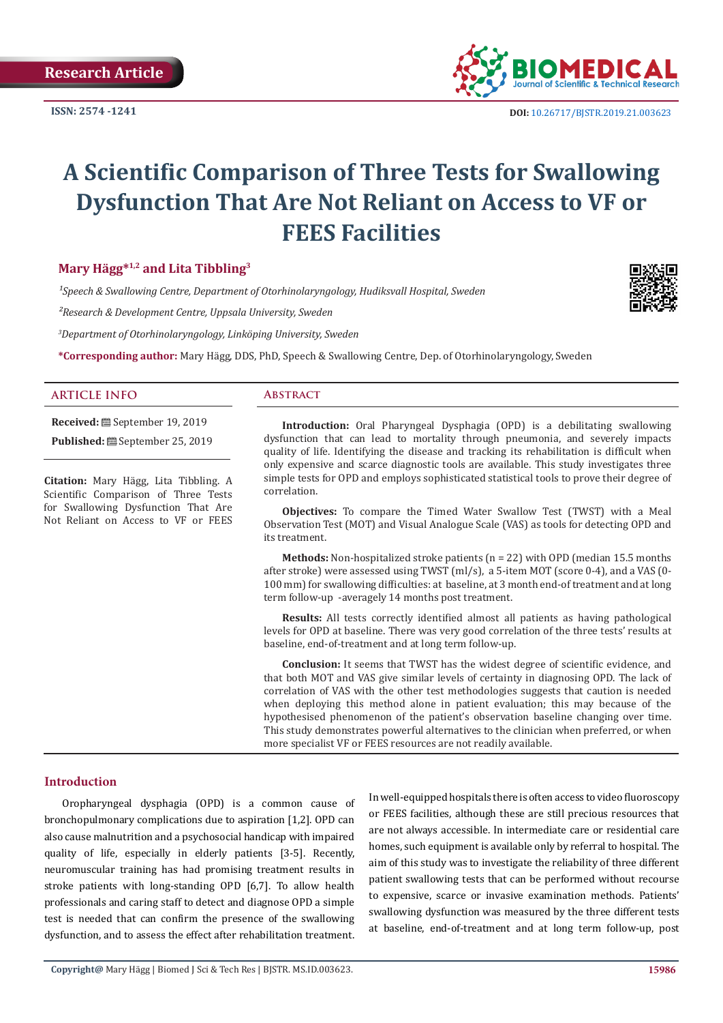**ISSN: 2574 -1241**



 **DOI:** [10.26717/BJSTR.2019.21.003623](http://dx.doi.org/10.26717/BJSTR.2019.21.003623)

# **A Scientific Comparison of Three Tests for Swallowing Dysfunction That Are Not Reliant on Access to VF or FEES Facilities**

# **Mary Hägg\*1,2 and Lita Tibbling<sup>3</sup>**

*¹Speech & Swallowing Centre, Department of Otorhinolaryngology, Hudiksvall Hospital, Sweden*

*²Research & Development Centre, Uppsala University, Sweden*

*3 Department of Otorhinolaryngology, Linköping University, Sweden*

**\*Corresponding author:** Mary Hägg, DDS, PhD, Speech & Swallowing Centre, Dep. of Otorhinolaryngology, Sweden

### **ARTICLE INFO Abstract**

**Received:** September 19, 2019 Published: **@** September 25, 2019

**Citation:** Mary Hägg, Lita Tibbling. A Scientific Comparison of Three Tests for Swallowing Dysfunction That Are Not Reliant on Access to VF or FEES

**Introduction:** Oral Pharyngeal Dysphagia (OPD) is a debilitating swallowing dysfunction that can lead to mortality through pneumonia, and severely impacts quality of life. Identifying the disease and tracking its rehabilitation is difficult when only expensive and scarce diagnostic tools are available. This study investigates three simple tests for OPD and employs sophisticated statistical tools to prove their degree of correlation.

**Objectives:** To compare the Timed Water Swallow Test (TWST) with a Meal Observation Test (MOT) and Visual Analogue Scale (VAS) as tools for detecting OPD and its treatment.

**Methods:** Non-hospitalized stroke patients (n = 22) with OPD (median 15.5 months after stroke) were assessed using TWST (ml/s), a 5-item MOT (score 0-4), and a VAS (0- 100 mm) for swallowing difficulties: at baseline, at 3 month end-of treatment and at long term follow-up -averagely 14 months post treatment.

**Results:** All tests correctly identified almost all patients as having pathological levels for OPD at baseline. There was very good correlation of the three tests' results at baseline, end-of-treatment and at long term follow-up.

**Conclusion:** It seems that TWST has the widest degree of scientific evidence, and that both MOT and VAS give similar levels of certainty in diagnosing OPD. The lack of correlation of VAS with the other test methodologies suggests that caution is needed when deploying this method alone in patient evaluation; this may because of the hypothesised phenomenon of the patient's observation baseline changing over time. This study demonstrates powerful alternatives to the clinician when preferred, or when more specialist VF or FEES resources are not readily available.

#### **Introduction**

Oropharyngeal dysphagia (OPD) is a common cause of bronchopulmonary complications due to aspiration [1,2]. OPD can also cause malnutrition and a psychosocial handicap with impaired quality of life, especially in elderly patients [3-5]. Recently, neuromuscular training has had promising treatment results in stroke patients with long-standing OPD [6,7]. To allow health professionals and caring staff to detect and diagnose OPD a simple test is needed that can confirm the presence of the swallowing dysfunction, and to assess the effect after rehabilitation treatment.

In well-equipped hospitals there is often access to video fluoroscopy or FEES facilities, although these are still precious resources that are not always accessible. In intermediate care or residential care homes, such equipment is available only by referral to hospital. The aim of this study was to investigate the reliability of three different patient swallowing tests that can be performed without recourse to expensive, scarce or invasive examination methods. Patients' swallowing dysfunction was measured by the three different tests at baseline, end-of-treatment and at long term follow-up, post

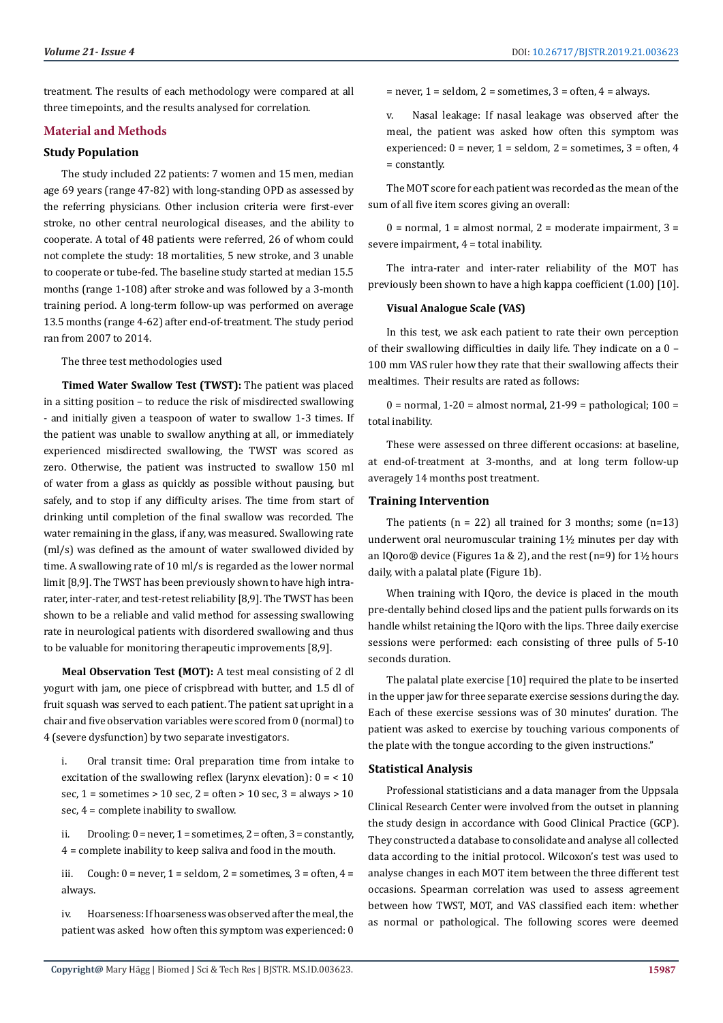treatment. The results of each methodology were compared at all three timepoints, and the results analysed for correlation.

## **Material and Methods**

#### **Study Population**

The study included 22 patients: 7 women and 15 men, median age 69 years (range 47-82) with long-standing OPD as assessed by the referring physicians. Other inclusion criteria were first-ever stroke, no other central neurological diseases, and the ability to cooperate. A total of 48 patients were referred, 26 of whom could not complete the study: 18 mortalities, 5 new stroke, and 3 unable to cooperate or tube-fed. The baseline study started at median 15.5 months (range 1-108) after stroke and was followed by a 3-month training period. A long-term follow-up was performed on average 13.5 months (range 4-62) after end-of-treatment. The study period ran from 2007 to 2014.

The three test methodologies used

**Timed Water Swallow Test (TWST):** The patient was placed in a sitting position – to reduce the risk of misdirected swallowing - and initially given a teaspoon of water to swallow 1-3 times. If the patient was unable to swallow anything at all, or immediately experienced misdirected swallowing, the TWST was scored as zero. Otherwise, the patient was instructed to swallow 150 ml of water from a glass as quickly as possible without pausing, but safely, and to stop if any difficulty arises. The time from start of drinking until completion of the final swallow was recorded. The water remaining in the glass, if any, was measured. Swallowing rate (ml/s) was defined as the amount of water swallowed divided by time. A swallowing rate of 10 ml/s is regarded as the lower normal limit [8,9]. The TWST has been previously shown to have high intrarater, inter-rater, and test-retest reliability [8,9]. The TWST has been shown to be a reliable and valid method for assessing swallowing rate in neurological patients with disordered swallowing and thus to be valuable for monitoring therapeutic improvements [8,9].

**Meal Observation Test (MOT):** A test meal consisting of 2 dl yogurt with jam, one piece of crispbread with butter, and 1.5 dl of fruit squash was served to each patient. The patient sat upright in a chair and five observation variables were scored from 0 (normal) to 4 (severe dysfunction) by two separate investigators.

i. Oral transit time: Oral preparation time from intake to excitation of the swallowing reflex (larynx elevation):  $0 = 10$ sec,  $1 =$  sometimes  $> 10$  sec,  $2 =$  often  $> 10$  sec,  $3 =$  always  $> 10$ sec, 4 = complete inability to swallow.

ii. Drooling:  $0 =$  never,  $1 =$  sometimes,  $2 =$  often,  $3 =$  constantly, 4 = complete inability to keep saliva and food in the mouth.

iii. Cough:  $0 =$  never,  $1 =$  seldom,  $2 =$  sometimes,  $3 =$  often,  $4 =$ always.

iv. Hoarseness: If hoarseness was observed after the meal, the patient was asked how often this symptom was experienced: 0  $=$  never, 1 = seldom, 2 = sometimes, 3 = often, 4 = always.

v. Nasal leakage: If nasal leakage was observed after the meal, the patient was asked how often this symptom was experienced:  $0 =$  never,  $1 =$  seldom,  $2 =$  sometimes,  $3 =$  often,  $4$ = constantly.

The MOT score for each patient was recorded as the mean of the sum of all five item scores giving an overall:

 $0 =$  normal,  $1 =$  almost normal,  $2 =$  moderate impairment,  $3 =$ severe impairment, 4 = total inability.

The intra-rater and inter-rater reliability of the MOT has previously been shown to have a high kappa coefficient (1.00) [10].

#### **Visual Analogue Scale (VAS)**

In this test, we ask each patient to rate their own perception of their swallowing difficulties in daily life. They indicate on a 0 – 100 mm VAS ruler how they rate that their swallowing affects their mealtimes. Their results are rated as follows:

 $0 =$  normal,  $1-20 =$  almost normal,  $21-99 =$  pathological;  $100 =$ total inability.

These were assessed on three different occasions: at baseline, at end-of-treatment at 3-months, and at long term follow-up averagely 14 months post treatment.

#### **Training Intervention**

The patients  $(n = 22)$  all trained for 3 months; some  $(n=13)$ underwent oral neuromuscular training 1½ minutes per day with an IQoro® device (Figures 1a & 2), and the rest (n=9) for 1½ hours daily, with a palatal plate (Figure 1b).

When training with IOoro, the device is placed in the mouth pre-dentally behind closed lips and the patient pulls forwards on its handle whilst retaining the IQoro with the lips. Three daily exercise sessions were performed: each consisting of three pulls of 5-10 seconds duration.

The palatal plate exercise [10] required the plate to be inserted in the upper jaw for three separate exercise sessions during the day. Each of these exercise sessions was of 30 minutes' duration. The patient was asked to exercise by touching various components of the plate with the tongue according to the given instructions."

#### **Statistical Analysis**

Professional statisticians and a data manager from the Uppsala Clinical Research Center were involved from the outset in planning the study design in accordance with Good Clinical Practice (GCP). They constructed a database to consolidate and analyse all collected data according to the initial protocol. Wilcoxon's test was used to analyse changes in each MOT item between the three different test occasions. Spearman correlation was used to assess agreement between how TWST, MOT, and VAS classified each item: whether as normal or pathological. The following scores were deemed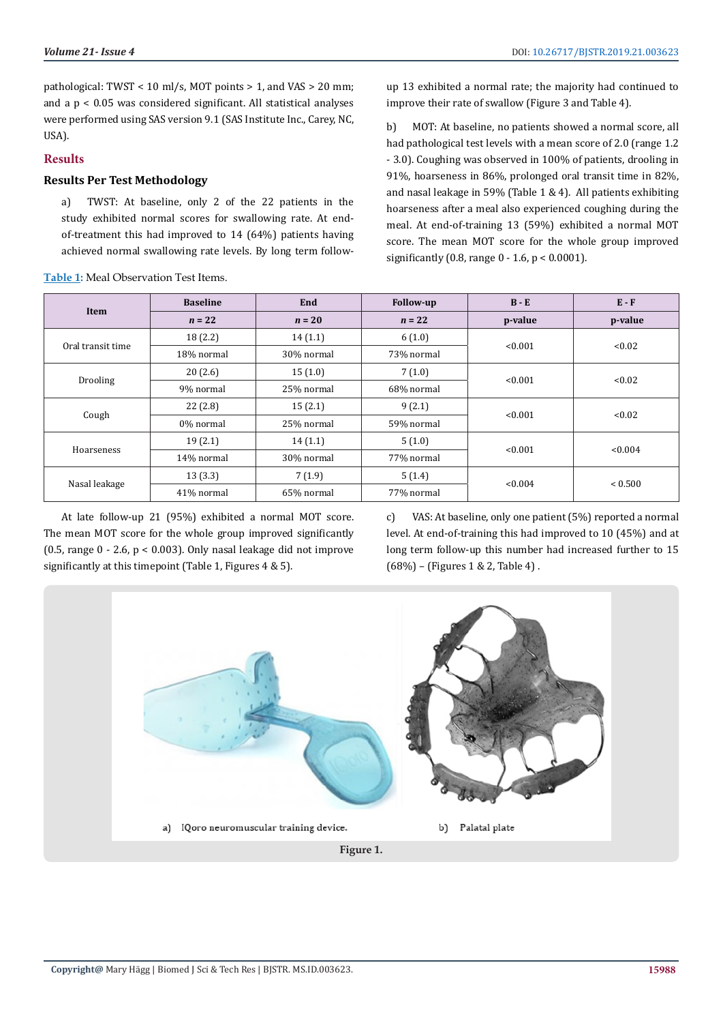pathological: TWST < 10 ml/s, MOT points > 1, and VAS > 20 mm; and a p < 0.05 was considered significant. All statistical analyses were performed using SAS version 9.1 (SAS Institute Inc., Carey, NC, USA).

# **Results**

# **Results Per Test Methodology**

a) TWST: At baseline, only 2 of the 22 patients in the study exhibited normal scores for swallowing rate. At endof-treatment this had improved to 14 (64%) patients having achieved normal swallowing rate levels. By long term follow-

**Table 1:** Meal Observation Test Items.

up 13 exhibited a normal rate; the majority had continued to improve their rate of swallow (Figure 3 and Table 4).

b) MOT: At baseline, no patients showed a normal score, all had pathological test levels with a mean score of 2.0 (range 1.2 - 3.0). Coughing was observed in 100% of patients, drooling in 91%, hoarseness in 86%, prolonged oral transit time in 82%, and nasal leakage in 59% (Table 1 & 4). All patients exhibiting hoarseness after a meal also experienced coughing during the meal. At end-of-training 13 (59%) exhibited a normal MOT score. The mean MOT score for the whole group improved significantly (0.8, range 0 - 1.6, p < 0.0001).

| Item              | <b>Baseline</b> | End        | Follow-up  | $B - E$ | $E - F$        |
|-------------------|-----------------|------------|------------|---------|----------------|
|                   | $n = 22$        | $n = 20$   | $n = 22$   | p-value | p-value        |
| Oral transit time | 18(2.2)         | 14(1.1)    | 6(1.0)     |         | < 0.02         |
|                   | 18% normal      | 30% normal | 73% normal | < 0.001 |                |
| Drooling          | 20(2.6)         | 15(1.0)    | 7(1.0)     | < 0.001 | < 0.02         |
|                   | 9% normal       | 25% normal | 68% normal |         |                |
| Cough             | 22(2.8)         | 15(2.1)    | 9(2.1)     | < 0.001 | < 0.02         |
|                   | 0% normal       | 25% normal | 59% normal |         |                |
| Hoarseness        | 19(2.1)         | 14(1.1)    | 5(1.0)     | < 0.001 | < 0.004        |
|                   | 14% normal      | 30% normal | 77% normal |         |                |
| Nasal leakage     | 13(3.3)         | 7(1.9)     | 5(1.4)     |         | ${}_{< 0.500}$ |
|                   | 41% normal      | 65% normal | 77% normal | < 0.004 |                |

At late follow-up 21 (95%) exhibited a normal MOT score. The mean MOT score for the whole group improved significantly (0.5, range  $0 - 2.6$ ,  $p < 0.003$ ). Only nasal leakage did not improve significantly at this timepoint (Table 1, Figures 4 & 5).

c) VAS: At baseline, only one patient (5%) reported a normal level. At end-of-training this had improved to 10 (45%) and at long term follow-up this number had increased further to 15 (68%) – (Figures 1 & 2, Table 4) .

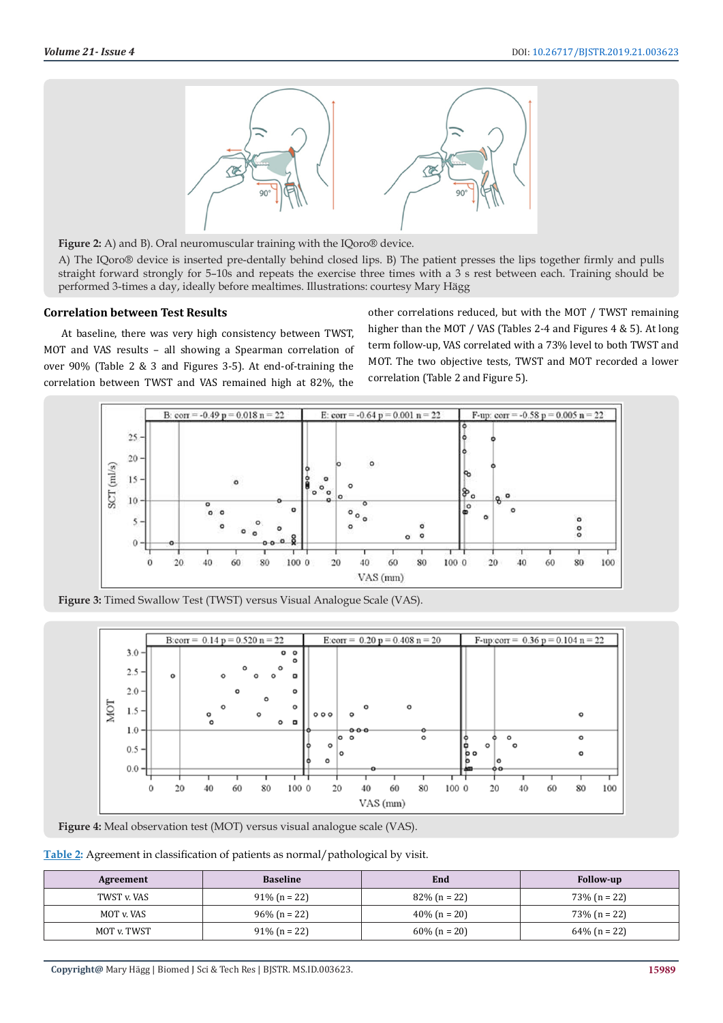

**Figure 2:** A) and B). Oral neuromuscular training with the IQoro® device.

A) The IQoro® device is inserted pre-dentally behind closed lips. B) The patient presses the lips together firmly and pulls straight forward strongly for 5–10s and repeats the exercise three times with a 3 s rest between each. Training should be performed 3-times a day, ideally before mealtimes. Illustrations: courtesy Mary Hägg

#### **Correlation between Test Results**

At baseline, there was very high consistency between TWST, MOT and VAS results – all showing a Spearman correlation of over 90% (Table 2 & 3 and Figures 3-5). At end-of-training the correlation between TWST and VAS remained high at 82%, the

other correlations reduced, but with the MOT / TWST remaining higher than the MOT / VAS (Tables 2-4 and Figures 4 & 5). At long term follow-up, VAS correlated with a 73% level to both TWST and MOT. The two objective tests, TWST and MOT recorded a lower correlation (Table 2 and Figure 5).



**Figure 3:** Timed Swallow Test (TWST) versus Visual Analogue Scale (VAS).



**Figure 4:** Meal observation test (MOT) versus visual analogue scale (VAS).

**Table 2:** Agreement in classification of patients as normal/pathological by visit.

| Agreement   | <b>Baseline</b> | End             | <b>Follow-up</b> |
|-------------|-----------------|-----------------|------------------|
| TWST v. VAS | $91\%$ (n = 22) | $82\%$ (n = 22) | $73\%$ (n = 22)  |
| MOT v. VAS  | $96\%$ (n = 22) | $40\%$ (n = 20) | $73\%$ (n = 22)  |
| MOT v. TWST | $91\%$ (n = 22) | $60\%$ (n = 20) | $64\%$ (n = 22)  |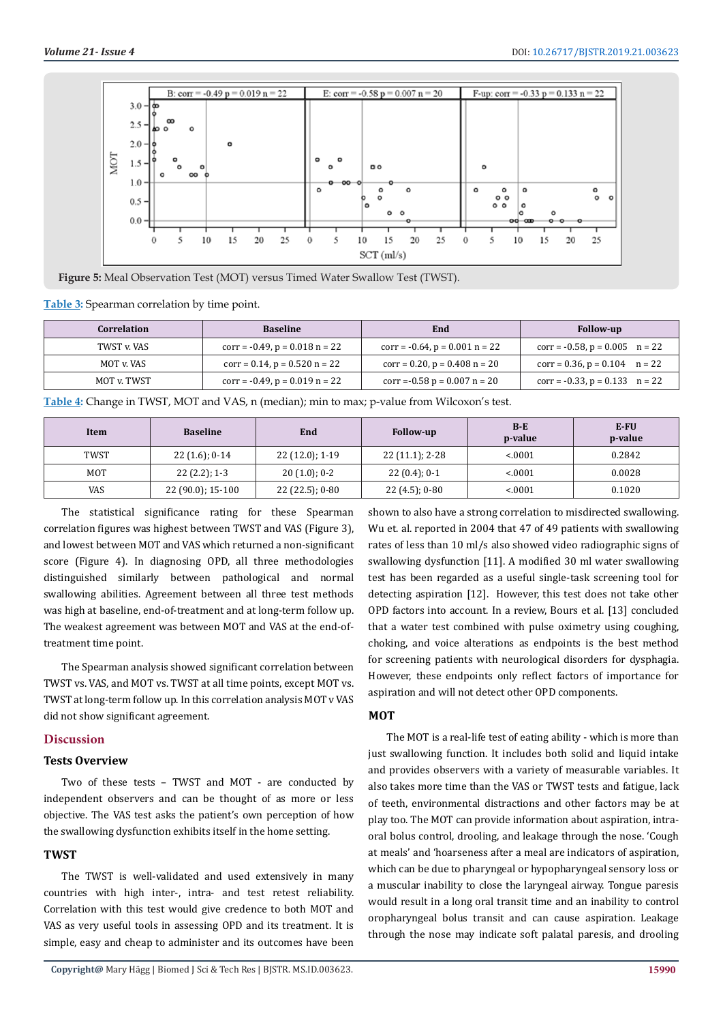

**Figure 5:** Meal Observation Test (MOT) versus Timed Water Swallow Test (TWST).

**Table 3:** Spearman correlation by time point.

| <b>Correlation</b> | <b>Baseline</b>                     | End                                   | <b>Follow-up</b>                      |
|--------------------|-------------------------------------|---------------------------------------|---------------------------------------|
| TWST v. VAS        | $corr = -0.49$ , $p = 0.018$ n = 22 | $corr = -0.64$ , $p = 0.001$ $n = 22$ | $corr = -0.58$ , $p = 0.005$ $n = 22$ |
| MOT v. VAS         | $corr = 0.14$ , $p = 0.520$ n = 22  | $corr = 0.20$ , $p = 0.408$ $n = 20$  | $corr = 0.36$ , $p = 0.104$ $n = 22$  |
| MOT v. TWST        | $corr = -0.49$ , $p = 0.019$ n = 22 | $corr = -0.58 p = 0.007 n = 20$       | corr = $-0.33$ , p = 0.133 n = 22     |

**Table 4:** Change in TWST, MOT and VAS, n (median); min to max; p-value from Wilcoxon's test.

| Item       | <b>Baseline</b>     | End             | <b>Follow-up</b> | $B-E$<br>p-value | E-FU<br>p-value |
|------------|---------------------|-----------------|------------------|------------------|-----------------|
| TWST       | $22(1.6)$ ; 0-14    | 22 (12.0); 1-19 | 22 (11.1); 2-28  | < 0.001          | 0.2842          |
| <b>MOT</b> | $22(2.2)$ ; 1-3     | $20(1.0); 0-2$  | $22(0.4)$ ; 0-1  | < 0.001          | 0.0028          |
| VAS        | $22(90.0)$ ; 15-100 | 22 (22.5); 0-80 | $22(4.5)$ ; 0-80 | < 0.001          | 0.1020          |

The statistical significance rating for these Spearman correlation figures was highest between TWST and VAS (Figure 3), and lowest between MOT and VAS which returned a non-significant score (Figure 4). In diagnosing OPD, all three methodologies distinguished similarly between pathological and normal swallowing abilities. Agreement between all three test methods was high at baseline, end-of-treatment and at long-term follow up. The weakest agreement was between MOT and VAS at the end-oftreatment time point.

The Spearman analysis showed significant correlation between TWST vs. VAS, and MOT vs. TWST at all time points, except MOT vs. TWST at long-term follow up. In this correlation analysis MOT v VAS did not show significant agreement.

#### **Discussion**

#### **Tests Overview**

Two of these tests – TWST and MOT - are conducted by independent observers and can be thought of as more or less objective. The VAS test asks the patient's own perception of how the swallowing dysfunction exhibits itself in the home setting.

#### **TWST**

The TWST is well-validated and used extensively in many countries with high inter-, intra- and test retest reliability. Correlation with this test would give credence to both MOT and VAS as very useful tools in assessing OPD and its treatment. It is simple, easy and cheap to administer and its outcomes have been

**Copyright@** Mary Hägg | Biomed J Sci & Tech Res | BJSTR. MS.ID.003623.

shown to also have a strong correlation to misdirected swallowing. Wu et. al. reported in 2004 that 47 of 49 patients with swallowing rates of less than 10 ml/s also showed video radiographic signs of swallowing dysfunction [11]. A modified 30 ml water swallowing test has been regarded as a useful single-task screening tool for detecting aspiration [12]. However, this test does not take other OPD factors into account. In a review, Bours et al. [13] concluded that a water test combined with pulse oximetry using coughing, choking, and voice alterations as endpoints is the best method for screening patients with neurological disorders for dysphagia. However, these endpoints only reflect factors of importance for aspiration and will not detect other OPD components.

#### **MOT**

The MOT is a real-life test of eating ability - which is more than just swallowing function. It includes both solid and liquid intake and provides observers with a variety of measurable variables. It also takes more time than the VAS or TWST tests and fatigue, lack of teeth, environmental distractions and other factors may be at play too. The MOT can provide information about aspiration, intraoral bolus control, drooling, and leakage through the nose. 'Cough at meals' and 'hoarseness after a meal are indicators of aspiration, which can be due to pharyngeal or hypopharyngeal sensory loss or a muscular inability to close the laryngeal airway. Tongue paresis would result in a long oral transit time and an inability to control oropharyngeal bolus transit and can cause aspiration. Leakage through the nose may indicate soft palatal paresis, and drooling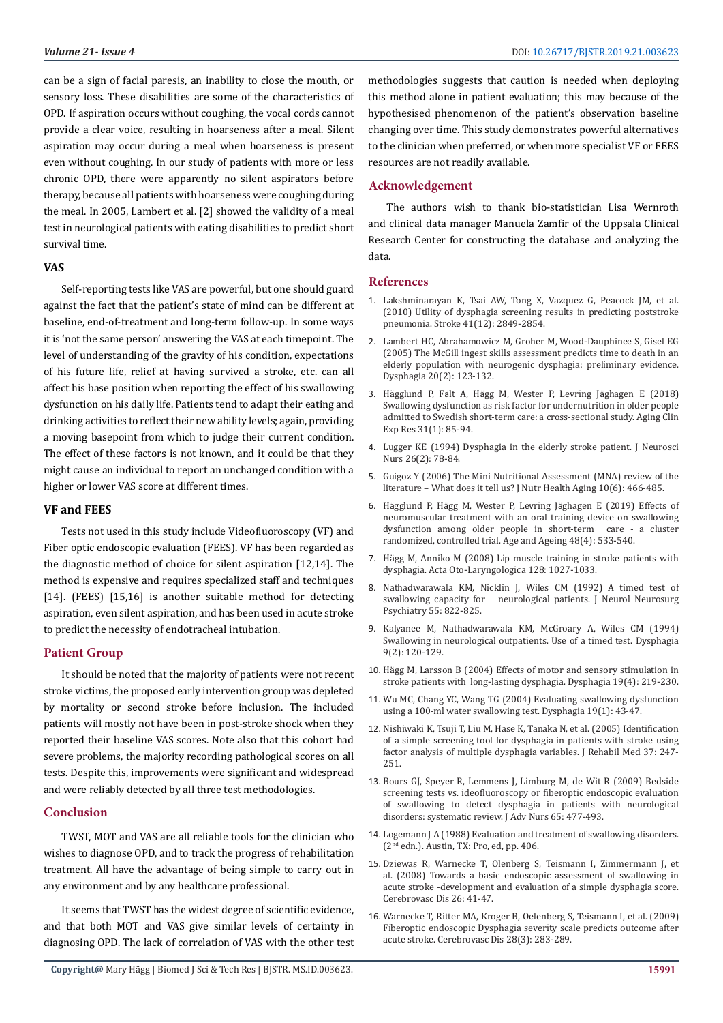can be a sign of facial paresis, an inability to close the mouth, or sensory loss. These disabilities are some of the characteristics of OPD. If aspiration occurs without coughing, the vocal cords cannot provide a clear voice, resulting in hoarseness after a meal. Silent aspiration may occur during a meal when hoarseness is present even without coughing. In our study of patients with more or less chronic OPD, there were apparently no silent aspirators before therapy, because all patients with hoarseness were coughing during the meal. In 2005, Lambert et al. [2] showed the validity of a meal test in neurological patients with eating disabilities to predict short survival time.

#### **VAS**

Self-reporting tests like VAS are powerful, but one should guard against the fact that the patient's state of mind can be different at baseline, end-of-treatment and long-term follow-up. In some ways it is 'not the same person' answering the VAS at each timepoint. The level of understanding of the gravity of his condition, expectations of his future life, relief at having survived a stroke, etc. can all affect his base position when reporting the effect of his swallowing dysfunction on his daily life. Patients tend to adapt their eating and drinking activities to reflect their new ability levels; again, providing a moving basepoint from which to judge their current condition. The effect of these factors is not known, and it could be that they might cause an individual to report an unchanged condition with a higher or lower VAS score at different times.

#### **VF and FEES**

Tests not used in this study include Videofluoroscopy (VF) and Fiber optic endoscopic evaluation (FEES). VF has been regarded as the diagnostic method of choice for silent aspiration [12,14]. The method is expensive and requires specialized staff and techniques [14]. (FEES) [15,16] is another suitable method for detecting aspiration, even silent aspiration, and has been used in acute stroke to predict the necessity of endotracheal intubation.

#### **Patient Group**

It should be noted that the majority of patients were not recent stroke victims, the proposed early intervention group was depleted by mortality or second stroke before inclusion. The included patients will mostly not have been in post-stroke shock when they reported their baseline VAS scores. Note also that this cohort had severe problems, the majority recording pathological scores on all tests. Despite this, improvements were significant and widespread and were reliably detected by all three test methodologies.

#### **Conclusion**

TWST, MOT and VAS are all reliable tools for the clinician who wishes to diagnose OPD, and to track the progress of rehabilitation treatment. All have the advantage of being simple to carry out in any environment and by any healthcare professional.

It seems that TWST has the widest degree of scientific evidence, and that both MOT and VAS give similar levels of certainty in diagnosing OPD. The lack of correlation of VAS with the other test methodologies suggests that caution is needed when deploying this method alone in patient evaluation; this may because of the hypothesised phenomenon of the patient's observation baseline changing over time. This study demonstrates powerful alternatives to the clinician when preferred, or when more specialist VF or FEES resources are not readily available.

#### **Acknowledgement**

The authors wish to thank bio-statistician Lisa Wernroth and clinical data manager Manuela Zamfir of the Uppsala Clinical Research Center for constructing the database and analyzing the data.

#### **References**

- 1. [Lakshminarayan K, Tsai AW, Tong X, Vazquez G, Peacock JM, et al.](https://www.ncbi.nlm.nih.gov/pubmed/20947835) [\(2010\) Utility of dysphagia screening results in predicting poststroke](https://www.ncbi.nlm.nih.gov/pubmed/20947835) [pneumonia. Stroke 41\(12\): 2849-2854.](https://www.ncbi.nlm.nih.gov/pubmed/20947835)
- 2. [Lambert HC, Abrahamowicz M, Groher M, Wood-Dauphinee S, Gisel EG](https://www.ncbi.nlm.nih.gov/pubmed/16172821) [\(2005\) The McGill ingest skills assessment predicts time to death in an](https://www.ncbi.nlm.nih.gov/pubmed/16172821) [elderly population with neurogenic dysphagia: preliminary evidence.](https://www.ncbi.nlm.nih.gov/pubmed/16172821) [Dysphagia 20\(2\): 123-132.](https://www.ncbi.nlm.nih.gov/pubmed/16172821)
- 3. Hägglund P, Fält A, Hä[gg M, Wester P, Levring J](https://www.ncbi.nlm.nih.gov/pubmed/29663160)äghagen E (2018) [Swallowing dysfunction as risk factor for undernutrition in older people](https://www.ncbi.nlm.nih.gov/pubmed/29663160) [admitted to Swedish short-term care: a cross-sectional study. Aging Clin](https://www.ncbi.nlm.nih.gov/pubmed/29663160) [Exp Res 31\(1\): 85-94.](https://www.ncbi.nlm.nih.gov/pubmed/29663160)
- 4. [Lugger KE \(1994\) Dysphagia in the elderly stroke patient. J Neurosci](https://www.ncbi.nlm.nih.gov/pubmed/8077779) [Nurs 26\(2\): 78-84.](https://www.ncbi.nlm.nih.gov/pubmed/8077779)
- 5. [Guigoz Y \(2006\) The Mini Nutritional Assessment \(MNA\) review of the](https://www.ncbi.nlm.nih.gov/pubmed/17183419) [literature – What does it tell us? J Nutr Health Aging 10\(6\): 466-485.](https://www.ncbi.nlm.nih.gov/pubmed/17183419)
- 6. Hägglund P, Hägg M, Wester P, Levring Jä[ghagen E \(2019\) Effects of](https://www.ncbi.nlm.nih.gov/pmc/articles/PMC6593320/) [neuromuscular treatment with an oral training device on swallowing](https://www.ncbi.nlm.nih.gov/pmc/articles/PMC6593320/) [dysfunction among older people in short-term care - a cluster](https://www.ncbi.nlm.nih.gov/pmc/articles/PMC6593320/) [randomized, controlled trial. Age and Ageing 48\(4\): 533-540.](https://www.ncbi.nlm.nih.gov/pmc/articles/PMC6593320/)
- 7. [Hägg M, Anniko M \(2008\) Lip muscle training in stroke patients with](https://www.ncbi.nlm.nih.gov/pubmed/19086198) [dysphagia. Acta Oto-Laryngologica 128: 1027-1033.](https://www.ncbi.nlm.nih.gov/pubmed/19086198)
- 8. [Nathadwarawala KM, Nicklin J, Wiles CM \(1992\) A timed test of](https://www.ncbi.nlm.nih.gov/pmc/articles/PMC1015108/) neurological patients. J Neurol Neurosurg [Psychiatry 55: 822-825.](https://www.ncbi.nlm.nih.gov/pmc/articles/PMC1015108/)
- 9. [Kalyanee M, Nathadwarawala KM, McGroary A, Wiles CM \(1994\)](https://www.ncbi.nlm.nih.gov/pubmed/8005007) [Swallowing in neurological outpatients. Use of a timed test. Dysphagia](https://www.ncbi.nlm.nih.gov/pubmed/8005007) [9\(2\): 120-129.](https://www.ncbi.nlm.nih.gov/pubmed/8005007)
- 10. [Hägg M, Larsson B \(2004\) Effects of motor and sensory stimulation in](https://www.ncbi.nlm.nih.gov/pubmed/15667056) [stroke patients with long-lasting dysphagia. Dysphagia 19\(4\): 219-230.](https://www.ncbi.nlm.nih.gov/pubmed/15667056)
- 11. [Wu MC, Chang YC, Wang TG \(2004\) Evaluating swallowing dysfunction](https://www.ncbi.nlm.nih.gov/pubmed/14745645) [using a 100-ml water swallowing test. Dysphagia 19\(1\): 43-47.](https://www.ncbi.nlm.nih.gov/pubmed/14745645)
- 12. [Nishiwaki K, Tsuji T, Liu M, Hase K, Tanaka N, et al. \(2005\) Identification](https://www.ncbi.nlm.nih.gov/pubmed/16024482) [of a simple screening tool for dysphagia in patients with stroke using](https://www.ncbi.nlm.nih.gov/pubmed/16024482) [factor analysis of multiple dysphagia variables. J Rehabil Med 37: 247-](https://www.ncbi.nlm.nih.gov/pubmed/16024482) [251.](https://www.ncbi.nlm.nih.gov/pubmed/16024482)
- 13. [Bours GJ, Speyer R, Lemmens J, Limburg M, de Wit R \(2009\) Bedside](https://www.ncbi.nlm.nih.gov/pubmed/19222645) [screening tests vs. ideofluoroscopy or fiberoptic endoscopic evaluation](https://www.ncbi.nlm.nih.gov/pubmed/19222645) [of swallowing to detect dysphagia in patients with neurological](https://www.ncbi.nlm.nih.gov/pubmed/19222645) [disorders: systematic review. J Adv Nurs 65: 477-493.](https://www.ncbi.nlm.nih.gov/pubmed/19222645)
- 14. [Logemann J A \(1988\) Evaluation and treatment of swallowing disorders.](https://books.google.co.in/books/about/Evaluation_and_Treatment_of_Swallowing_D.html?id=IFVsAAAAMAAJ&redir_esc=y) (2nd [edn.\). Austin, TX: Pro, ed, pp. 406.](https://books.google.co.in/books/about/Evaluation_and_Treatment_of_Swallowing_D.html?id=IFVsAAAAMAAJ&redir_esc=y)
- 15. Dziewas R, Warnecke T, Olenberg S, Teismann I, Zimmermann J, et al. (2008) Towards a basic endoscopic assessment of swallowing in acute stroke -development and evaluation of a simple dysphagia score. Cerebrovasc Dis 26: 41-47.
- 16. [Warnecke T, Ritter MA, Kroger B, Oelenberg S, Teismann I, et al. \(2009\)](https://www.ncbi.nlm.nih.gov/pubmed/19609080) [Fiberoptic endoscopic Dysphagia severity scale predicts outcome after](https://www.ncbi.nlm.nih.gov/pubmed/19609080) [acute stroke. Cerebrovasc Dis 28\(3\): 283-289.](https://www.ncbi.nlm.nih.gov/pubmed/19609080)